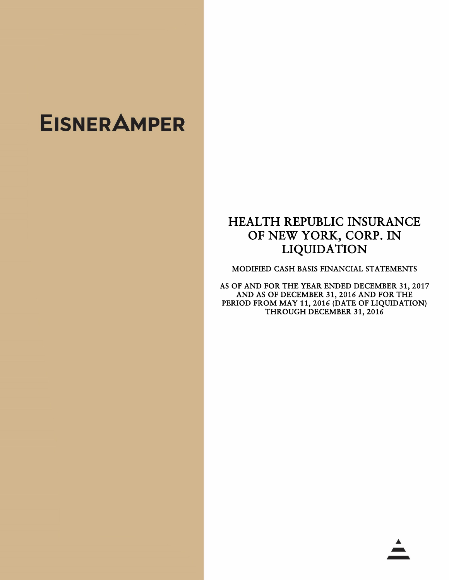# **EISNERAMPER**

## HEALTH REPUBLIC INSURANCE OF NEW YORK, CORP. IN LIQUIDATION

MODIFIED CASH BASIS FINANCIAL STATEMENTS

AS OF AND FOR THE YEAR ENDED DECEMBER 31, 2017 AND AS OF DECEMBER 31, 2016 AND FOR THE PERIOD FROM MAY 11, 2016 (DATE OF LIQUIDATION) THROUGH DECEMBER 31, 2016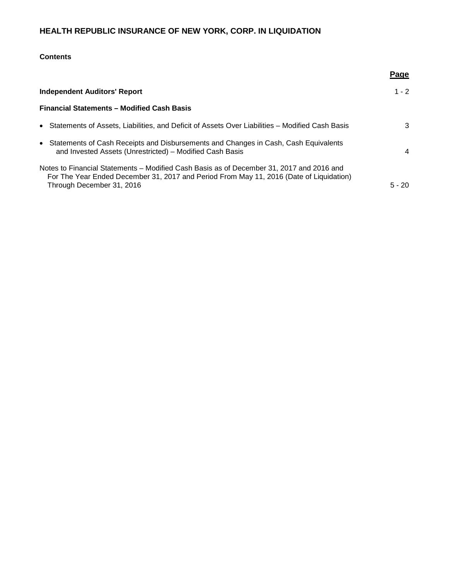## **Contents**

|                                                                                                                                                                                     | <u>Page</u>    |
|-------------------------------------------------------------------------------------------------------------------------------------------------------------------------------------|----------------|
| <b>Independent Auditors' Report</b>                                                                                                                                                 | $1 - 2$        |
| Financial Statements - Modified Cash Basis                                                                                                                                          |                |
| • Statements of Assets, Liabilities, and Deficit of Assets Over Liabilities – Modified Cash Basis                                                                                   | 3              |
| • Statements of Cash Receipts and Disbursements and Changes in Cash, Cash Equivalents<br>and Invested Assets (Unrestricted) – Modified Cash Basis                                   | $\overline{4}$ |
| Notes to Financial Statements – Modified Cash Basis as of December 31, 2017 and 2016 and<br>For The Year Ended December 31, 2017 and Period From May 11, 2016 (Date of Liquidation) |                |
| Through December 31, 2016                                                                                                                                                           | $5 - 20$       |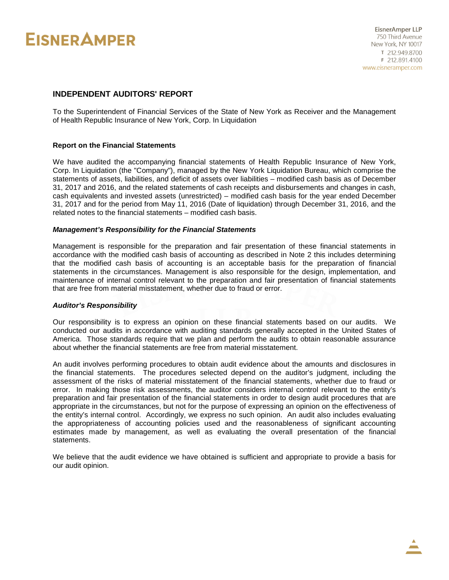## **EISNER AMPER**

#### l, **INDEPENDENT AUDITORS' REPORT**

To the Superintendent of Financial Services of the State of New York as Receiver and the Management of Health Republic Insurance of New York, Corp. In Liquidation

#### **Report on the Financial Statements**

We have audited the accompanying financial statements of Health Republic Insurance of New York, Corp. In Liquidation (the "Company"), managed by the New York Liquidation Bureau, which comprise the statements of assets, liabilities, and deficit of assets over liabilities – modified cash basis as of December 31, 2017 and 2016, and the related statements of cash receipts and disbursements and changes in cash, cash equivalents and invested assets (unrestricted) – modified cash basis for the year ended December 31, 2017 and for the period from May 11, 2016 (Date of liquidation) through December 31, 2016, and the related notes to the financial statements – modified cash basis.

#### *Management's Responsibility for the Financial Statements*

Management is responsible for the preparation and fair presentation of these financial statements in accordance with the modified cash basis of accounting as described in Note 2 this includes determining that the modified cash basis of accounting is an acceptable basis for the preparation of financial statements in the circumstances. Management is also responsible for the design, implementation, and maintenance of internal control relevant to the preparation and fair presentation of financial statements that are free from material misstatement, whether due to fraud or error.

#### *Auditor's Responsibility*

Our responsibility is to express an opinion on these financial statements based on our audits. We conducted our audits in accordance with auditing standards generally accepted in the United States of America. Those standards require that we plan and perform the audits to obtain reasonable assurance about whether the financial statements are free from material misstatement.

An audit involves performing procedures to obtain audit evidence about the amounts and disclosures in the financial statements. The procedures selected depend on the auditor's judgment, including the assessment of the risks of material misstatement of the financial statements, whether due to fraud or error. In making those risk assessments, the auditor considers internal control relevant to the entity's preparation and fair presentation of the financial statements in order to design audit procedures that are appropriate in the circumstances, but not for the purpose of expressing an opinion on the effectiveness of the entity's internal control. Accordingly, we express no such opinion. An audit also includes evaluating the appropriateness of accounting policies used and the reasonableness of significant accounting estimates made by management, as well as evaluating the overall presentation of the financial statements.

We believe that the audit evidence we have obtained is sufficient and appropriate to provide a basis for our audit opinion.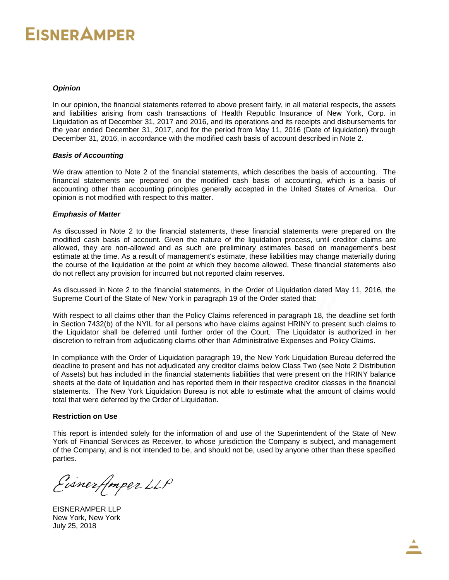## **EISNER AMPER**

#### *Opinion*

In our opinion, the financial statements referred to above present fairly, in all material respects, the assets and liabilities arising from cash transactions of Health Republic Insurance of New York, Corp. in Liquidation as of December 31, 2017 and 2016, and its operations and its receipts and disbursements for the year ended December 31, 2017, and for the period from May 11, 2016 (Date of liquidation) through December 31, 2016, in accordance with the modified cash basis of account described in Note 2.

#### *Basis of Accounting*

We draw attention to Note 2 of the financial statements, which describes the basis of accounting. The financial statements are prepared on the modified cash basis of accounting, which is a basis of accounting other than accounting principles generally accepted in the United States of America. Our opinion is not modified with respect to this matter.

#### *Emphasis of Matter*

As discussed in Note 2 to the financial statements, these financial statements were prepared on the modified cash basis of account. Given the nature of the liquidation process, until creditor claims are allowed, they are non-allowed and as such are preliminary estimates based on management's best estimate at the time. As a result of management's estimate, these liabilities may change materially during the course of the liquidation at the point at which they become allowed. These financial statements also do not reflect any provision for incurred but not reported claim reserves.

As discussed in Note 2 to the financial statements, in the Order of Liquidation dated May 11, 2016, the Supreme Court of the State of New York in paragraph 19 of the Order stated that:

With respect to all claims other than the Policy Claims referenced in paragraph 18, the deadline set forth in Section 7432(b) of the NYIL for all persons who have claims against HRINY to present such claims to the Liquidator shall be deferred until further order of the Court. The Liquidator is authorized in her discretion to refrain from adjudicating claims other than Administrative Expenses and Policy Claims.

In compliance with the Order of Liquidation paragraph 19, the New York Liquidation Bureau deferred the deadline to present and has not adjudicated any creditor claims below Class Two (see Note 2 Distribution of Assets) but has included in the financial statements liabilities that were present on the HRINY balance sheets at the date of liquidation and has reported them in their respective creditor classes in the financial statements. The New York Liquidation Bureau is not able to estimate what the amount of claims would total that were deferred by the Order of Liquidation.

#### **Restriction on Use**

This report is intended solely for the information of and use of the Superintendent of the State of New York of Financial Services as Receiver, to whose jurisdiction the Company is subject, and management of the Company, and is not intended to be, and should not be, used by anyone other than these specified parties.

Eisnerfmper LLP

EISNERAMPER LLP New York, New York July 25, 2018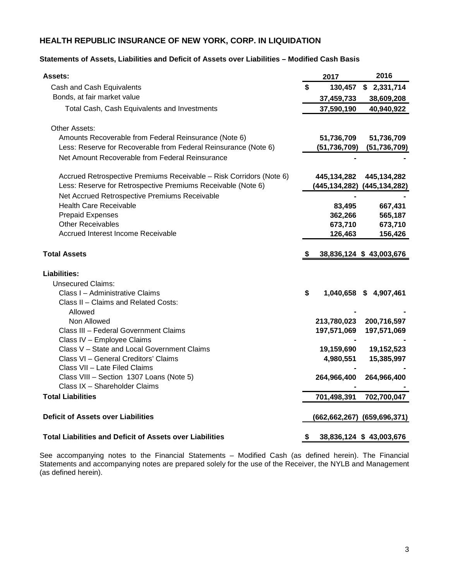#### **Statements of Assets, Liabilities and Deficit of Assets over Liabilities – Modified Cash Basis**

| Assets:                                                                   |                           | 2017           | 2016                         |
|---------------------------------------------------------------------------|---------------------------|----------------|------------------------------|
| Cash and Cash Equivalents                                                 | $\boldsymbol{\mathsf{s}}$ |                | 130,457 \$ 2,331,714         |
| Bonds, at fair market value                                               |                           | 37,459,733     | 38,609,208                   |
| Total Cash, Cash Equivalents and Investments                              |                           | 37,590,190     | 40,940,922                   |
|                                                                           |                           |                |                              |
| Other Assets:<br>Amounts Recoverable from Federal Reinsurance (Note 6)    |                           | 51,736,709     |                              |
| Less: Reserve for Recoverable from Federal Reinsurance (Note 6)           |                           | (51, 736, 709) | 51,736,709<br>(51, 736, 709) |
| Net Amount Recoverable from Federal Reinsurance                           |                           |                |                              |
| Accrued Retrospective Premiums Receivable - Risk Corridors (Note 6)       |                           | 445,134,282    | 445,134,282                  |
| Less: Reserve for Retrospective Premiums Receivable (Note 6)              |                           |                | (445,134,282) (445,134,282)  |
| Net Accrued Retrospective Premiums Receivable                             |                           |                |                              |
| <b>Health Care Receivable</b>                                             |                           | 83,495         | 667,431                      |
| <b>Prepaid Expenses</b>                                                   |                           | 362,266        | 565,187                      |
| <b>Other Receivables</b>                                                  |                           | 673,710        | 673,710                      |
| Accrued Interest Income Receivable                                        |                           | 126,463        | 156,426                      |
| <b>Total Assets</b>                                                       | \$                        |                | 38,836,124 \$ 43,003,676     |
| Liabilities:                                                              |                           |                |                              |
| Unsecured Claims:                                                         |                           |                |                              |
| Class I - Administrative Claims                                           | \$                        |                | 1,040,658 \$ 4,907,461       |
| Class II - Claims and Related Costs:                                      |                           |                |                              |
| Allowed                                                                   |                           |                |                              |
| Non Allowed                                                               |                           | 213,780,023    | 200,716,597                  |
| Class III - Federal Government Claims                                     |                           | 197,571,069    | 197,571,069                  |
| Class IV - Employee Claims                                                |                           |                |                              |
| Class V - State and Local Government Claims                               |                           | 19,159,690     | 19,152,523                   |
| Class VI - General Creditors' Claims                                      |                           | 4,980,551      | 15,385,997                   |
| Class VII - Late Filed Claims                                             |                           |                |                              |
| Class VIII - Section 1307 Loans (Note 5)<br>Class IX - Shareholder Claims |                           | 264,966,400    | 264,966,400                  |
| <b>Total Liabilities</b>                                                  |                           | 701,498,391    | 702,700,047                  |
|                                                                           |                           |                |                              |
| <b>Deficit of Assets over Liabilities</b>                                 |                           |                | (662,662,267) (659,696,371)  |
| <b>Total Liabilities and Deficit of Assets over Liabilities</b>           | \$                        |                | 38,836,124 \$ 43,003,676     |

See accompanying notes to the Financial Statements – Modified Cash (as defined herein). The Financial Statements and accompanying notes are prepared solely for the use of the Receiver, the NYLB and Management (as defined herein).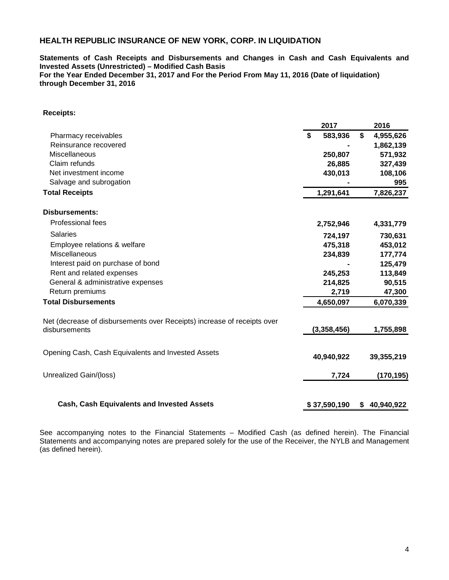## **Statements of Cash Receipts and Disbursements and Changes in Cash and Cash Equivalents and Invested Assets (Unrestricted) – Modified Cash Basis**

**For the Year Ended December 31, 2017 and For the Period From May 11, 2016 (Date of liquidation) through December 31, 2016**

#### **Receipts:**

|                                                                         | 2017          | 2016             |
|-------------------------------------------------------------------------|---------------|------------------|
| Pharmacy receivables                                                    | \$<br>583,936 | \$<br>4,955,626  |
| Reinsurance recovered                                                   |               | 1,862,139        |
| <b>Miscellaneous</b>                                                    | 250,807       | 571,932          |
| Claim refunds                                                           | 26,885        | 327,439          |
| Net investment income                                                   | 430,013       | 108,106          |
| Salvage and subrogation                                                 |               | 995              |
| <b>Total Receipts</b>                                                   | 1,291,641     | 7,826,237        |
| <b>Disbursements:</b>                                                   |               |                  |
| <b>Professional fees</b>                                                | 2,752,946     | 4,331,779        |
| <b>Salaries</b>                                                         | 724,197       | 730,631          |
| Employee relations & welfare                                            | 475,318       | 453,012          |
| Miscellaneous                                                           | 234,839       | 177,774          |
| Interest paid on purchase of bond                                       |               | 125,479          |
| Rent and related expenses                                               | 245,253       | 113,849          |
| General & administrative expenses                                       | 214,825       | 90,515           |
| Return premiums                                                         | 2,719         | 47,300           |
| <b>Total Disbursements</b>                                              | 4,650,097     | 6,070,339        |
| Net (decrease of disbursements over Receipts) increase of receipts over |               |                  |
| disbursements                                                           | (3,358,456)   | 1,755,898        |
| Opening Cash, Cash Equivalents and Invested Assets                      | 40,940,922    | 39,355,219       |
| Unrealized Gain/(loss)                                                  | 7,724         | (170, 195)       |
| <b>Cash, Cash Equivalents and Invested Assets</b>                       | \$37,590,190  | \$<br>40,940,922 |

See accompanying notes to the Financial Statements – Modified Cash (as defined herein). The Financial Statements and accompanying notes are prepared solely for the use of the Receiver, the NYLB and Management (as defined herein).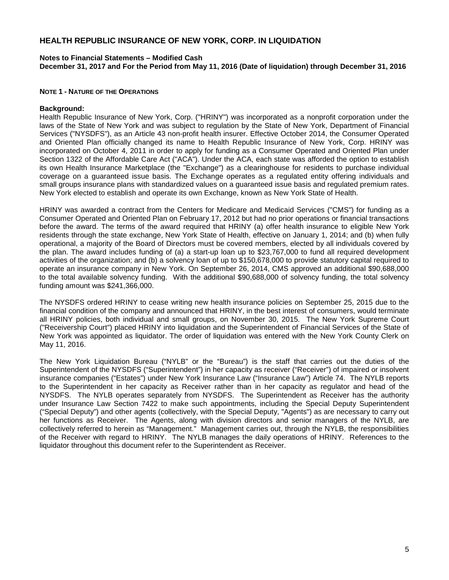#### **Notes to Financial Statements – Modified Cash December 31, 2017 and For the Period from May 11, 2016 (Date of liquidation) through December 31, 2016**

#### **NOTE 1 - NATURE OF THE OPERATIONS**

#### **Background:**

Health Republic Insurance of New York, Corp. ("HRINY") was incorporated as a nonprofit corporation under the laws of the State of New York and was subject to regulation by the State of New York, Department of Financial Services ("NYSDFS"), as an Article 43 non-profit health insurer. Effective October 2014, the Consumer Operated and Oriented Plan officially changed its name to Health Republic Insurance of New York, Corp. HRINY was incorporated on October 4, 2011 in order to apply for funding as a Consumer Operated and Oriented Plan under Section 1322 of the Affordable Care Act ("ACA"). Under the ACA, each state was afforded the option to establish its own Health Insurance Marketplace (the "Exchange") as a clearinghouse for residents to purchase individual coverage on a guaranteed issue basis. The Exchange operates as a regulated entity offering individuals and small groups insurance plans with standardized values on a guaranteed issue basis and regulated premium rates. New York elected to establish and operate its own Exchange, known as New York State of Health.

HRINY was awarded a contract from the Centers for Medicare and Medicaid Services ("CMS") for funding as a Consumer Operated and Oriented Plan on February 17, 2012 but had no prior operations or financial transactions before the award. The terms of the award required that HRINY (a) offer health insurance to eligible New York residents through the state exchange, New York State of Health, effective on January 1, 2014; and (b) when fully operational, a majority of the Board of Directors must be covered members, elected by all individuals covered by the plan. The award includes funding of (a) a start-up loan up to \$23,767,000 to fund all required development activities of the organization; and (b) a solvency loan of up to \$150,678,000 to provide statutory capital required to operate an insurance company in New York. On September 26, 2014, CMS approved an additional \$90,688,000 to the total available solvency funding. With the additional \$90,688,000 of solvency funding, the total solvency funding amount was \$241,366,000.

The NYSDFS ordered HRINY to cease writing new health insurance policies on September 25, 2015 due to the financial condition of the company and announced that HRINY, in the best interest of consumers, would terminate all HRINY policies, both individual and small groups, on November 30, 2015. The New York Supreme Court ("Receivership Court") placed HRINY into liquidation and the Superintendent of Financial Services of the State of New York was appointed as liquidator. The order of liquidation was entered with the New York County Clerk on May 11, 2016.

The New York Liquidation Bureau ("NYLB" or the "Bureau") is the staff that carries out the duties of the Superintendent of the NYSDFS ("Superintendent") in her capacity as receiver ("Receiver") of impaired or insolvent insurance companies ("Estates") under New York Insurance Law ("Insurance Law") Article 74. The NYLB reports to the Superintendent in her capacity as Receiver rather than in her capacity as regulator and head of the NYSDFS. The NYLB operates separately from NYSDFS. The Superintendent as Receiver has the authority under Insurance Law Section 7422 to make such appointments, including the Special Deputy Superintendent ("Special Deputy") and other agents (collectively, with the Special Deputy, "Agents") as are necessary to carry out her functions as Receiver. The Agents, along with division directors and senior managers of the NYLB, are collectively referred to herein as "Management." Management carries out, through the NYLB, the responsibilities of the Receiver with regard to HRINY. The NYLB manages the daily operations of HRINY. References to the liquidator throughout this document refer to the Superintendent as Receiver.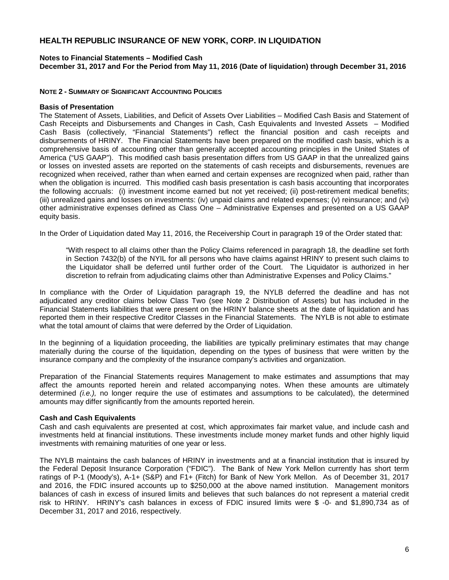#### **Notes to Financial Statements – Modified Cash**

**December 31, 2017 and For the Period from May 11, 2016 (Date of liquidation) through December 31, 2016**

#### **NOTE 2 - SUMMARY OF SIGNIFICANT ACCOUNTING POLICIES**

#### **Basis of Presentation**

The Statement of Assets, Liabilities, and Deficit of Assets Over Liabilities – Modified Cash Basis and Statement of Cash Receipts and Disbursements and Changes in Cash, Cash Equivalents and Invested Assets – Modified Cash Basis (collectively, "Financial Statements") reflect the financial position and cash receipts and disbursements of HRINY. The Financial Statements have been prepared on the modified cash basis, which is a comprehensive basis of accounting other than generally accepted accounting principles in the United States of America ("US GAAP"). This modified cash basis presentation differs from US GAAP in that the unrealized gains or losses on invested assets are reported on the statements of cash receipts and disbursements, revenues are recognized when received, rather than when earned and certain expenses are recognized when paid, rather than when the obligation is incurred. This modified cash basis presentation is cash basis accounting that incorporates the following accruals: (i) investment income earned but not yet received; (ii) post-retirement medical benefits; (iii) unrealized gains and losses on investments: (iv) unpaid claims and related expenses; (v) reinsurance; and (vi) other administrative expenses defined as Class One – Administrative Expenses and presented on a US GAAP equity basis.

In the Order of Liquidation dated May 11, 2016, the Receivership Court in paragraph 19 of the Order stated that:

"With respect to all claims other than the Policy Claims referenced in paragraph 18, the deadline set forth in Section 7432(b) of the NYIL for all persons who have claims against HRINY to present such claims to the Liquidator shall be deferred until further order of the Court. The Liquidator is authorized in her discretion to refrain from adjudicating claims other than Administrative Expenses and Policy Claims."

In compliance with the Order of Liquidation paragraph 19, the NYLB deferred the deadline and has not adjudicated any creditor claims below Class Two (see Note 2 Distribution of Assets) but has included in the Financial Statements liabilities that were present on the HRINY balance sheets at the date of liquidation and has reported them in their respective Creditor Classes in the Financial Statements. The NYLB is not able to estimate what the total amount of claims that were deferred by the Order of Liquidation.

In the beginning of a liquidation proceeding, the liabilities are typically preliminary estimates that may change materially during the course of the liquidation, depending on the types of business that were written by the insurance company and the complexity of the insurance company's activities and organization.

Preparation of the Financial Statements requires Management to make estimates and assumptions that may affect the amounts reported herein and related accompanying notes. When these amounts are ultimately determined *(i.e.),* no longer require the use of estimates and assumptions to be calculated), the determined amounts may differ significantly from the amounts reported herein.

#### **Cash and Cash Equivalents**

Cash and cash equivalents are presented at cost, which approximates fair market value, and include cash and investments held at financial institutions. These investments include money market funds and other highly liquid investments with remaining maturities of one year or less.

The NYLB maintains the cash balances of HRINY in investments and at a financial institution that is insured by the Federal Deposit Insurance Corporation ("FDIC"). The Bank of New York Mellon currently has short term ratings of P-1 (Moody's), A-1+ (S&P) and F1+ (Fitch) for Bank of New York Mellon. As of December 31, 2017 and 2016, the FDIC insured accounts up to \$250,000 at the above named institution. Management monitors balances of cash in excess of insured limits and believes that such balances do not represent a material credit risk to HRINY. HRINY's cash balances in excess of FDIC insured limits were \$ -0- and \$1,890,734 as of December 31, 2017 and 2016, respectively.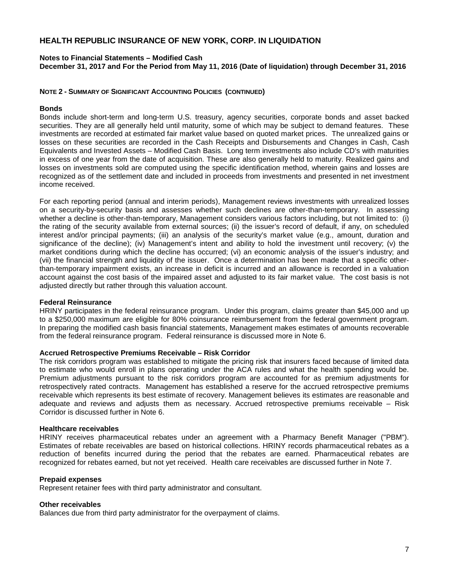#### **Notes to Financial Statements – Modified Cash**

**December 31, 2017 and For the Period from May 11, 2016 (Date of liquidation) through December 31, 2016**

#### **NOTE 2 - SUMMARY OF SIGNIFICANT ACCOUNTING POLICIES (CONTINUED)**

#### **Bonds**

Bonds include short-term and long-term U.S. treasury, agency securities, corporate bonds and asset backed securities. They are all generally held until maturity, some of which may be subject to demand features. These investments are recorded at estimated fair market value based on quoted market prices. The unrealized gains or losses on these securities are recorded in the Cash Receipts and Disbursements and Changes in Cash, Cash Equivalents and Invested Assets – Modified Cash Basis. Long term investments also include CD's with maturities in excess of one year from the date of acquisition. These are also generally held to maturity. Realized gains and losses on investments sold are computed using the specific identification method, wherein gains and losses are recognized as of the settlement date and included in proceeds from investments and presented in net investment income received.

For each reporting period (annual and interim periods), Management reviews investments with unrealized losses on a security-by-security basis and assesses whether such declines are other-than-temporary. In assessing whether a decline is other-than-temporary, Management considers various factors including, but not limited to: (i) the rating of the security available from external sources; (ii) the issuer's record of default, if any, on scheduled interest and/or principal payments; (iii) an analysis of the security's market value (e.g., amount, duration and significance of the decline); (iv) Management's intent and ability to hold the investment until recovery; (v) the market conditions during which the decline has occurred; (vi) an economic analysis of the issuer's industry; and (vii) the financial strength and liquidity of the issuer. Once a determination has been made that a specific otherthan-temporary impairment exists, an increase in deficit is incurred and an allowance is recorded in a valuation account against the cost basis of the impaired asset and adjusted to its fair market value. The cost basis is not adjusted directly but rather through this valuation account.

#### **Federal Reinsurance**

HRINY participates in the federal reinsurance program. Under this program, claims greater than \$45,000 and up to a \$250,000 maximum are eligible for 80% coinsurance reimbursement from the federal government program. In preparing the modified cash basis financial statements, Management makes estimates of amounts recoverable from the federal reinsurance program. Federal reinsurance is discussed more in Note 6.

#### **Accrued Retrospective Premiums Receivable – Risk Corridor**

The risk corridors program was established to mitigate the pricing risk that insurers faced because of limited data to estimate who would enroll in plans operating under the ACA rules and what the health spending would be. Premium adjustments pursuant to the risk corridors program are accounted for as premium adjustments for retrospectively rated contracts. Management has established a reserve for the accrued retrospective premiums receivable which represents its best estimate of recovery. Management believes its estimates are reasonable and adequate and reviews and adjusts them as necessary. Accrued retrospective premiums receivable – Risk Corridor is discussed further in Note 6.

#### **Healthcare receivables**

HRINY receives pharmaceutical rebates under an agreement with a Pharmacy Benefit Manager ("PBM"). Estimates of rebate receivables are based on historical collections. HRINY records pharmaceutical rebates as a reduction of benefits incurred during the period that the rebates are earned. Pharmaceutical rebates are recognized for rebates earned, but not yet received. Health care receivables are discussed further in Note 7.

#### **Prepaid expenses**

Represent retainer fees with third party administrator and consultant.

#### **Other receivables**

Balances due from third party administrator for the overpayment of claims.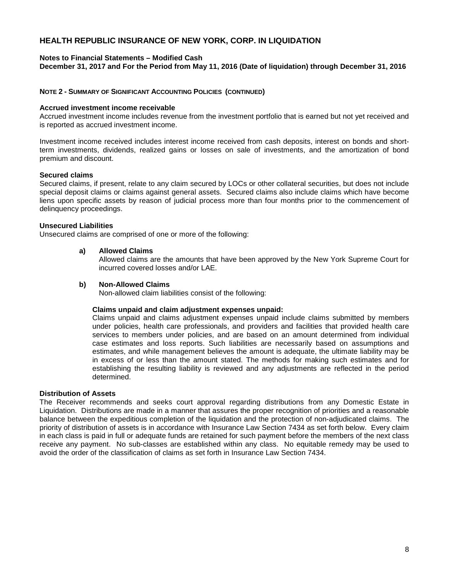#### **Notes to Financial Statements – Modified Cash**

**December 31, 2017 and For the Period from May 11, 2016 (Date of liquidation) through December 31, 2016**

#### **NOTE 2 - SUMMARY OF SIGNIFICANT ACCOUNTING POLICIES (CONTINUED)**

#### **Accrued investment income receivable**

Accrued investment income includes revenue from the investment portfolio that is earned but not yet received and is reported as accrued investment income.

Investment income received includes interest income received from cash deposits, interest on bonds and shortterm investments, dividends, realized gains or losses on sale of investments, and the amortization of bond premium and discount.

#### **Secured claims**

Secured claims, if present, relate to any claim secured by LOCs or other collateral securities, but does not include special deposit claims or claims against general assets. Secured claims also include claims which have become liens upon specific assets by reason of judicial process more than four months prior to the commencement of delinquency proceedings.

#### **Unsecured Liabilities**

Unsecured claims are comprised of one or more of the following:

#### **a) Allowed Claims**

Allowed claims are the amounts that have been approved by the New York Supreme Court for incurred covered losses and/or LAE.

#### **b) Non-Allowed Claims**

Non-allowed claim liabilities consist of the following:

#### **Claims unpaid and claim adjustment expenses unpaid:**

Claims unpaid and claims adjustment expenses unpaid include claims submitted by members under policies, health care professionals, and providers and facilities that provided health care services to members under policies, and are based on an amount determined from individual case estimates and loss reports. Such liabilities are necessarily based on assumptions and estimates, and while management believes the amount is adequate, the ultimate liability may be in excess of or less than the amount stated. The methods for making such estimates and for establishing the resulting liability is reviewed and any adjustments are reflected in the period determined.

#### **Distribution of Assets**

The Receiver recommends and seeks court approval regarding distributions from any Domestic Estate in Liquidation. Distributions are made in a manner that assures the proper recognition of priorities and a reasonable balance between the expeditious completion of the liquidation and the protection of non-adjudicated claims. The priority of distribution of assets is in accordance with Insurance Law Section 7434 as set forth below. Every claim in each class is paid in full or adequate funds are retained for such payment before the members of the next class receive any payment. No sub-classes are established within any class. No equitable remedy may be used to avoid the order of the classification of claims as set forth in Insurance Law Section 7434.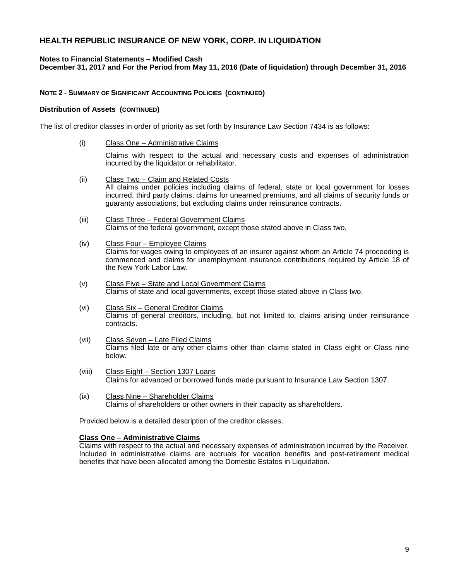#### **Notes to Financial Statements – Modified Cash**

**December 31, 2017 and For the Period from May 11, 2016 (Date of liquidation) through December 31, 2016**

#### **NOTE 2 - SUMMARY OF SIGNIFICANT ACCOUNTING POLICIES (CONTINUED)**

#### **Distribution of Assets (CONTINUED)**

The list of creditor classes in order of priority as set forth by Insurance Law Section 7434 is as follows:

(i) Class One – Administrative Claims

Claims with respect to the actual and necessary costs and expenses of administration incurred by the liquidator or rehabilitator.

- (ii) Class Two Claim and Related Costs All claims under policies including claims of federal, state or local government for losses incurred, third party claims, claims for unearned premiums, and all claims of security funds or guaranty associations, but excluding claims under reinsurance contracts.
- (iii) Class Three Federal Government Claims Claims of the federal government, except those stated above in Class two.
- (iv) Class Four Employee Claims Claims for wages owing to employees of an insurer against whom an Article 74 proceeding is commenced and claims for unemployment insurance contributions required by Article 18 of the New York Labor Law.
- (v) Class Five State and Local Government Claims Claims of state and local governments, except those stated above in Class two.
- (vi) Class Six General Creditor Claims Claims of general creditors, including, but not limited to, claims arising under reinsurance contracts.
- (vii) Class Seven Late Filed Claims Claims filed late or any other claims other than claims stated in Class eight or Class nine below.
- (viii) Class Eight Section 1307 Loans Claims for advanced or borrowed funds made pursuant to Insurance Law Section 1307.
- (ix) Class Nine Shareholder Claims Claims of shareholders or other owners in their capacity as shareholders.

Provided below is a detailed description of the creditor classes.

#### **Class One – Administrative Claims**

Claims with respect to the actual and necessary expenses of administration incurred by the Receiver. Included in administrative claims are accruals for vacation benefits and post-retirement medical benefits that have been allocated among the Domestic Estates in Liquidation.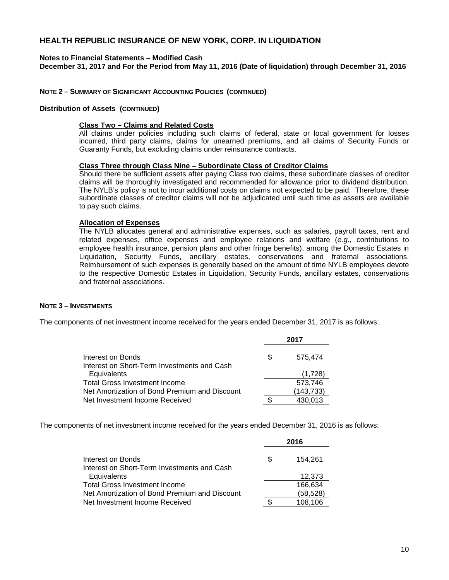#### **Notes to Financial Statements – Modified Cash**

**December 31, 2017 and For the Period from May 11, 2016 (Date of liquidation) through December 31, 2016**

#### **NOTE 2 – SUMMARY OF SIGNIFICANT ACCOUNTING POLICIES (CONTINUED)**

#### **Distribution of Assets (CONTINUED)**

#### **Class Two – Claims and Related Costs**

All claims under policies including such claims of federal, state or local government for losses incurred, third party claims, claims for unearned premiums, and all claims of Security Funds or Guaranty Funds, but excluding claims under reinsurance contracts.

#### **Class Three through Class Nine – Subordinate Class of Creditor Claims**

Should there be sufficient assets after paying Class two claims, these subordinate classes of creditor claims will be thoroughly investigated and recommended for allowance prior to dividend distribution. The NYLB's policy is not to incur additional costs on claims not expected to be paid. Therefore, these subordinate classes of creditor claims will not be adjudicated until such time as assets are available to pay such claims.

#### **Allocation of Expenses**

The NYLB allocates general and administrative expenses, such as salaries, payroll taxes, rent and related expenses, office expenses and employee relations and welfare (*e.g.*, contributions to employee health insurance, pension plans and other fringe benefits), among the Domestic Estates in Liquidation, Security Funds, ancillary estates, conservations and fraternal associations. Reimbursement of such expenses is generally based on the amount of time NYLB employees devote to the respective Domestic Estates in Liquidation, Security Funds, ancillary estates, conservations and fraternal associations.

#### **NOTE 3 – INVESTMENTS**

The components of net investment income received for the years ended December 31, 2017 is as follows:

|                                               |    | 2017      |
|-----------------------------------------------|----|-----------|
| Interest on Bonds                             | S  | 575.474   |
| Interest on Short-Term Investments and Cash   |    |           |
| Equivalents                                   |    | (1,728)   |
| <b>Total Gross Investment Income</b>          |    | 573,746   |
| Net Amortization of Bond Premium and Discount |    | (143,733) |
| Net Investment Income Received                | S. | 430.013   |

The components of net investment income received for the years ended December 31, 2016 is as follows:

|                                                            |     | 2016      |
|------------------------------------------------------------|-----|-----------|
| Interest on Bonds                                          | \$. | 154.261   |
| Interest on Short-Term Investments and Cash<br>Equivalents |     | 12.373    |
| <b>Total Gross Investment Income</b>                       |     | 166,634   |
| Net Amortization of Bond Premium and Discount              |     | (58, 528) |
| Net Investment Income Received                             |     | 108,106   |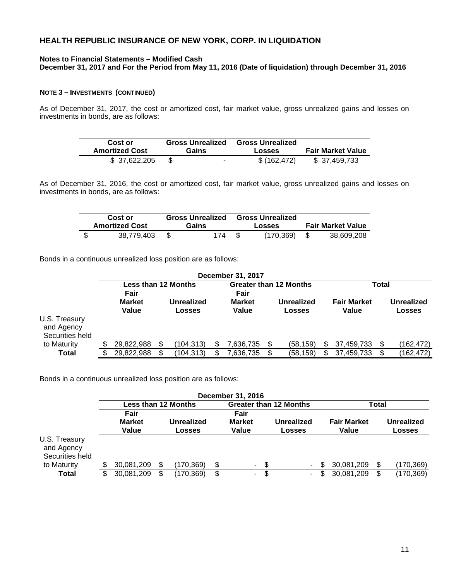#### **Notes to Financial Statements – Modified Cash December 31, 2017 and For the Period from May 11, 2016 (Date of liquidation) through December 31, 2016**

#### **NOTE 3 – INVESTMENTS (CONTINUED)**

As of December 31, 2017, the cost or amortized cost, fair market value, gross unrealized gains and losses on investments in bonds, are as follows:

| Cost or<br><b>Amortized Cost</b> | <b>Gross Unrealized</b><br>Gains | <b>Gross Unrealized</b><br>Losses | <b>Fair Market Value</b> |
|----------------------------------|----------------------------------|-----------------------------------|--------------------------|
| \$37.622,205                     | -                                | \$(162, 472)                      | \$37,459,733             |

As of December 31, 2016, the cost or amortized cost, fair market value, gross unrealized gains and losses on investments in bonds, are as follows:

| Cost or<br><b>Amortized Cost</b> | <b>Gross Unrealized</b><br>Gains | <b>Gross Unrealized</b><br>Losses | <b>Fair Market Value</b> |            |  |  |
|----------------------------------|----------------------------------|-----------------------------------|--------------------------|------------|--|--|
|                                  |                                  |                                   |                          |            |  |  |
| 38.779.403                       | 174                              | (170.369)                         |                          | 38.609.208 |  |  |

Bonds in a continuous unrealized loss position are as follows:

|                                                |                                |                             |     | December 31, 2017              |   |                      |   |                             |  |                      |
|------------------------------------------------|--------------------------------|-----------------------------|-----|--------------------------------|---|----------------------|---|-----------------------------|--|----------------------|
|                                                | <b>Less than 12 Months</b>     |                             |     | <b>Greater than 12 Months</b>  |   |                      |   | Total                       |  |                      |
|                                                | Fair<br><b>Market</b><br>Value | <b>Unrealized</b><br>Losses |     | Fair<br><b>Market</b><br>Value |   | Unrealized<br>Losses |   | <b>Fair Market</b><br>Value |  | Unrealized<br>Losses |
| U.S. Treasury<br>and Agency<br>Securities held |                                |                             |     |                                |   |                      |   |                             |  |                      |
| to Maturity                                    | 29,822,988                     | (104,313)                   | S   | 7,636,735                      | S | (58,159)             | S | 37,459,733                  |  | (162, 472)           |
| Total                                          | 29,822,988                     | (104, 313)                  | \$. | 7,636,735                      |   | (58,159)             |   | 37,459,733                  |  | (162, 472)           |

Bonds in a continuous unrealized loss position are as follows:

|                                                |                                |                             | December 31, 2016              |    |                             |   |                             |  |                                    |
|------------------------------------------------|--------------------------------|-----------------------------|--------------------------------|----|-----------------------------|---|-----------------------------|--|------------------------------------|
|                                                | <b>Less than 12 Months</b>     |                             | <b>Greater than 12 Months</b>  |    |                             |   | Total                       |  |                                    |
|                                                | Fair<br><b>Market</b><br>Value | <b>Unrealized</b><br>Losses | Fair<br><b>Market</b><br>Value |    | Unrealized<br><b>Losses</b> |   | <b>Fair Market</b><br>Value |  | <b>Unrealized</b><br><b>Losses</b> |
| U.S. Treasury<br>and Agency<br>Securities held |                                |                             |                                |    |                             |   |                             |  |                                    |
| to Maturity                                    | 30,081,209                     | (170.369)                   | \$<br>$\blacksquare$           | \$ | ٠                           | S | 30,081,209                  |  | (170, 369)                         |
| <b>Total</b>                                   | 30,081,209                     | (170, 369)                  | \$<br>٠                        |    | ۰.                          |   | 30,081,209                  |  | (170, 369)                         |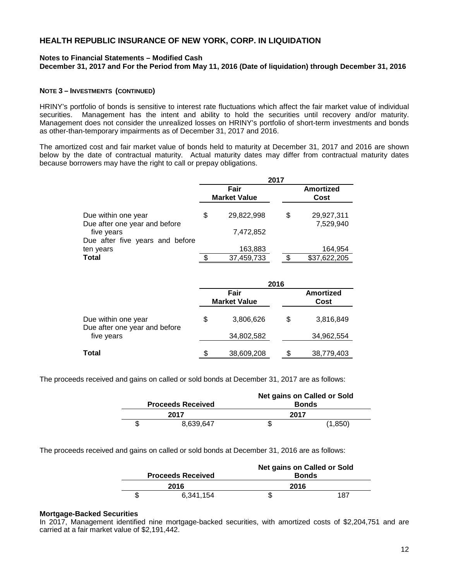#### **Notes to Financial Statements – Modified Cash December 31, 2017 and For the Period from May 11, 2016 (Date of liquidation) through December 31, 2016**

#### **NOTE 3 – INVESTMENTS (CONTINUED)**

HRINY's portfolio of bonds is sensitive to interest rate fluctuations which affect the fair market value of individual securities. Management has the intent and ability to hold the securities until recovery and/or maturity. Management does not consider the unrealized losses on HRINY's portfolio of short-term investments and bonds as other-than-temporary impairments as of December 31, 2017 and 2016.

The amortized cost and fair market value of bonds held to maturity at December 31, 2017 and 2016 are shown below by the date of contractual maturity. Actual maturity dates may differ from contractual maturity dates because borrowers may have the right to call or prepay obligations.

| 2017 |            |                                |                          |  |  |  |
|------|------------|--------------------------------|--------------------------|--|--|--|
|      | Fair       |                                | <b>Amortized</b><br>Cost |  |  |  |
| \$   | 29,822,998 | \$                             | 29,927,311               |  |  |  |
|      | 7,472,852  |                                | 7,529,940                |  |  |  |
|      |            |                                | 164,954                  |  |  |  |
|      | 37,459,733 |                                | \$37,622,205             |  |  |  |
|      |            | <b>Market Value</b><br>163,883 |                          |  |  |  |

|                                                      | 2016 |                             |    |                          |  |  |  |
|------------------------------------------------------|------|-----------------------------|----|--------------------------|--|--|--|
|                                                      |      | Fair<br><b>Market Value</b> |    | <b>Amortized</b><br>Cost |  |  |  |
| Due within one year<br>Due after one year and before | \$   | 3,806,626                   | \$ | 3,816,849                |  |  |  |
| five years                                           |      | 34,802,582                  |    | 34,962,554               |  |  |  |
| Total                                                | S    | 38,609,208                  |    | 38,779,403               |  |  |  |

The proceeds received and gains on called or sold bonds at December 31, 2017 are as follows:

|                          |      | Net gains on Called or Sold |
|--------------------------|------|-----------------------------|
| <b>Proceeds Received</b> |      | <b>Bonds</b>                |
| 2017                     | 2017 |                             |
| 8,639,647                |      | (1,850)                     |

The proceeds received and gains on called or sold bonds at December 31, 2016 are as follows:

| <b>Proceeds Received</b> |      | Net gains on Called or Sold<br><b>Bonds</b> |
|--------------------------|------|---------------------------------------------|
| 2016                     | 2016 |                                             |
| \$<br>6.341.154          |      | 187                                         |

#### **Mortgage-Backed Securities**

In 2017, Management identified nine mortgage-backed securities, with amortized costs of \$2,204,751 and are carried at a fair market value of \$2,191,442.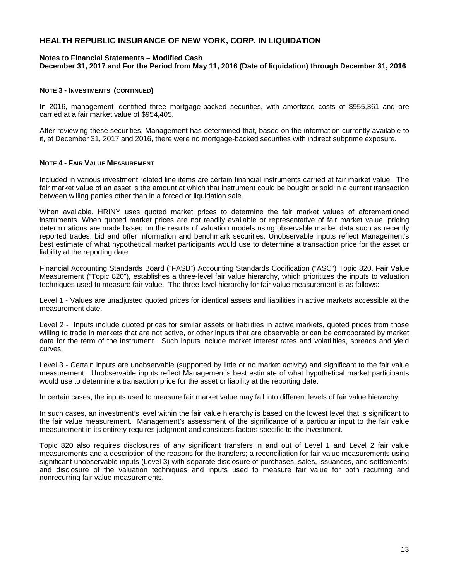#### **Notes to Financial Statements – Modified Cash**

**December 31, 2017 and For the Period from May 11, 2016 (Date of liquidation) through December 31, 2016**

#### **NOTE 3 - INVESTMENTS (CONTINUED)**

In 2016, management identified three mortgage-backed securities, with amortized costs of \$955,361 and are carried at a fair market value of \$954,405.

After reviewing these securities, Management has determined that, based on the information currently available to it, at December 31, 2017 and 2016, there were no mortgage-backed securities with indirect subprime exposure.

#### **NOTE 4 - FAIR VALUE MEASUREMENT**

Included in various investment related line items are certain financial instruments carried at fair market value. The fair market value of an asset is the amount at which that instrument could be bought or sold in a current transaction between willing parties other than in a forced or liquidation sale.

When available, HRINY uses quoted market prices to determine the fair market values of aforementioned instruments. When quoted market prices are not readily available or representative of fair market value, pricing determinations are made based on the results of valuation models using observable market data such as recently reported trades, bid and offer information and benchmark securities. Unobservable inputs reflect Management's best estimate of what hypothetical market participants would use to determine a transaction price for the asset or liability at the reporting date.

Financial Accounting Standards Board ("FASB") Accounting Standards Codification ("ASC") Topic 820, Fair Value Measurement ("Topic 820"), establishes a three-level fair value hierarchy, which prioritizes the inputs to valuation techniques used to measure fair value. The three-level hierarchy for fair value measurement is as follows:

Level 1 - Values are unadjusted quoted prices for identical assets and liabilities in active markets accessible at the measurement date.

Level 2 - Inputs include quoted prices for similar assets or liabilities in active markets, quoted prices from those willing to trade in markets that are not active, or other inputs that are observable or can be corroborated by market data for the term of the instrument. Such inputs include market interest rates and volatilities, spreads and yield curves.

Level 3 - Certain inputs are unobservable (supported by little or no market activity) and significant to the fair value measurement. Unobservable inputs reflect Management's best estimate of what hypothetical market participants would use to determine a transaction price for the asset or liability at the reporting date.

In certain cases, the inputs used to measure fair market value may fall into different levels of fair value hierarchy.

In such cases, an investment's level within the fair value hierarchy is based on the lowest level that is significant to the fair value measurement. Management's assessment of the significance of a particular input to the fair value measurement in its entirety requires judgment and considers factors specific to the investment.

Topic 820 also requires disclosures of any significant transfers in and out of Level 1 and Level 2 fair value measurements and a description of the reasons for the transfers; a reconciliation for fair value measurements using significant unobservable inputs (Level 3) with separate disclosure of purchases, sales, issuances, and settlements; and disclosure of the valuation techniques and inputs used to measure fair value for both recurring and nonrecurring fair value measurements.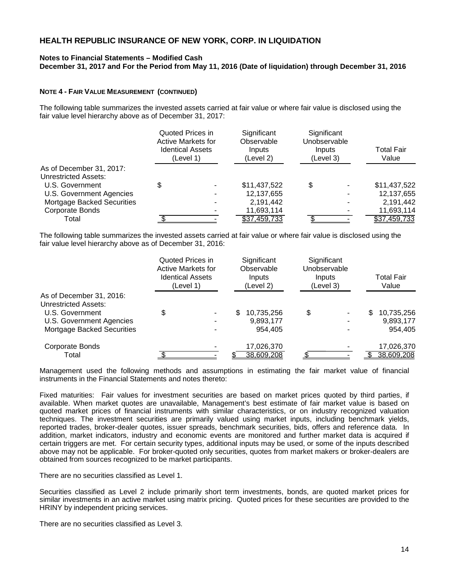#### **Notes to Financial Statements – Modified Cash December 31, 2017 and For the Period from May 11, 2016 (Date of liquidation) through December 31, 2016**

#### **NOTE 4 - FAIR VALUE MEASUREMENT (CONTINUED)**

The following table summarizes the invested assets carried at fair value or where fair value is disclosed using the fair value level hierarchy above as of December 31, 2017:

|                                                         | Quoted Prices in<br><b>Active Markets for</b><br>(Level 1) | <b>Identical Assets</b> | Significant<br>Observable<br>Inputs<br>(Level 2) | Significant<br>Unobservable<br>Inputs<br>(Level 3) | <b>Total Fair</b><br>Value |
|---------------------------------------------------------|------------------------------------------------------------|-------------------------|--------------------------------------------------|----------------------------------------------------|----------------------------|
| As of December 31, 2017:<br><b>Unrestricted Assets:</b> |                                                            |                         |                                                  |                                                    |                            |
| U.S. Government                                         |                                                            |                         | \$11,437,522                                     | \$                                                 | \$11,437,522               |
| U.S. Government Agencies                                |                                                            |                         | 12,137,655                                       |                                                    | 12,137,655                 |
| <b>Mortgage Backed Securities</b>                       |                                                            |                         | 2,191,442                                        |                                                    | 2,191,442                  |
| Corporate Bonds                                         |                                                            |                         | 11,693,114                                       |                                                    | 11,693,114                 |
| Total                                                   |                                                            |                         | \$37,459,733                                     |                                                    | \$37,459,733               |

The following table summarizes the invested assets carried at fair value or where fair value is disclosed using the fair value level hierarchy above as of December 31, 2016:

|                                                         | Quoted Prices in<br><b>Active Markets for</b><br><b>Identical Assets</b><br>(Level 1) |     | Significant<br>Observable<br>Inputs<br>(Level 2) | Significant<br>Unobservable<br>Inputs<br>(Level 3) |     | <b>Total Fair</b><br>Value |
|---------------------------------------------------------|---------------------------------------------------------------------------------------|-----|--------------------------------------------------|----------------------------------------------------|-----|----------------------------|
| As of December 31, 2016:<br><b>Unrestricted Assets:</b> |                                                                                       |     |                                                  |                                                    |     |                            |
| U.S. Government                                         | \$                                                                                    | \$. | 10,735,256                                       | \$                                                 | \$. | 10,735,256                 |
| U.S. Government Agencies                                |                                                                                       |     | 9,893,177                                        |                                                    |     | 9,893,177                  |
| Mortgage Backed Securities                              |                                                                                       |     | 954.405                                          |                                                    |     | 954.405                    |
| Corporate Bonds                                         |                                                                                       |     | 17,026,370                                       |                                                    |     | 17,026,370                 |
| Total                                                   |                                                                                       |     | 38,609,208                                       |                                                    |     | 38,609,208                 |

Management used the following methods and assumptions in estimating the fair market value of financial instruments in the Financial Statements and notes thereto:

Fixed maturities: Fair values for investment securities are based on market prices quoted by third parties, if available. When market quotes are unavailable, Management's best estimate of fair market value is based on quoted market prices of financial instruments with similar characteristics, or on industry recognized valuation techniques. The investment securities are primarily valued using market inputs, including benchmark yields, reported trades, broker-dealer quotes, issuer spreads, benchmark securities, bids, offers and reference data. In addition, market indicators, industry and economic events are monitored and further market data is acquired if certain triggers are met. For certain security types, additional inputs may be used, or some of the inputs described above may not be applicable. For broker-quoted only securities, quotes from market makers or broker-dealers are obtained from sources recognized to be market participants.

There are no securities classified as Level 1.

Securities classified as Level 2 include primarily short term investments, bonds, are quoted market prices for similar investments in an active market using matrix pricing. Quoted prices for these securities are provided to the HRINY by independent pricing services.

There are no securities classified as Level 3.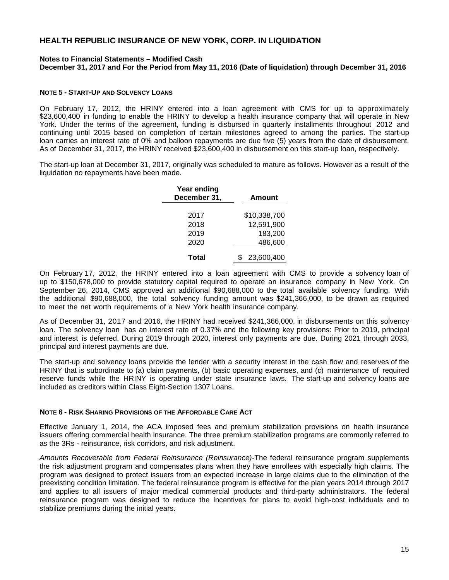#### **Notes to Financial Statements – Modified Cash December 31, 2017 and For the Period from May 11, 2016 (Date of liquidation) through December 31, 2016**

#### **NOTE 5 - START-UP AND SOLVENCY LOANS**

On February 17, 2012, the HRINY entered into a loan agreement with CMS for up to approximately \$23,600,400 in funding to enable the HRINY to develop a health insurance company that will operate in New York. Under the terms of the agreement, funding is disbursed in quarterly installments throughout 2012 and continuing until 2015 based on completion of certain milestones agreed to among the parties. The start-up loan carries an interest rate of 0% and balloon repayments are due five (5) years from the date of disbursement. As of December 31, 2017, the HRINY received \$23,600,400 in disbursement on this start-up loan, respectively.

The start-up loan at December 31, 2017, originally was scheduled to mature as follows. However as a result of the liquidation no repayments have been made.

| Year ending<br>December 31, | Amount       |
|-----------------------------|--------------|
|                             |              |
| 2017                        | \$10,338,700 |
| 2018                        | 12,591,900   |
| 2019                        | 183,200      |
| 2020                        | 486,600      |
| Total                       | 23,600,400   |

On February 17, 2012, the HRINY entered into a loan agreement with CMS to provide a solvency loan of up to \$150,678,000 to provide statutory capital required to operate an insurance company in New York. On September 26, 2014, CMS approved an additional \$90,688,000 to the total available solvency funding. With the additional \$90,688,000, the total solvency funding amount was \$241,366,000, to be drawn as required to meet the net worth requirements of a New York health insurance company.

As of December 31, 2017 and 2016, the HRINY had received \$241,366,000, in disbursements on this solvency loan. The solvency loan has an interest rate of 0.37% and the following key provisions: Prior to 2019, principal and interest is deferred. During 2019 through 2020, interest only payments are due. During 2021 through 2033, principal and interest payments are due.

The start-up and solvency loans provide the lender with a security interest in the cash flow and reserves of the HRINY that is subordinate to (a) claim payments, (b) basic operating expenses, and (c) maintenance of required reserve funds while the HRINY is operating under state insurance laws. The start-up and solvency loans are included as creditors within Class Eight-Section 1307 Loans.

#### **NOTE 6 - RISK SHARING PROVISIONS OF THE AFFORDABLE CARE ACT**

Effective January 1, 2014, the ACA imposed fees and premium stabilization provisions on health insurance issuers offering commercial health insurance. The three premium stabilization programs are commonly referred to as the 3Rs - reinsurance, risk corridors, and risk adjustment.

*Amounts Recoverable from Federal Reinsurance (Reinsurance)-*The federal reinsurance program supplements the risk adjustment program and compensates plans when they have enrollees with especially high claims. The program was designed to protect issuers from an expected increase in large claims due to the elimination of the preexisting condition limitation. The federal reinsurance program is effective for the plan years 2014 through 2017 and applies to all issuers of major medical commercial products and third-party administrators. The federal reinsurance program was designed to reduce the incentives for plans to avoid high-cost individuals and to stabilize premiums during the initial years.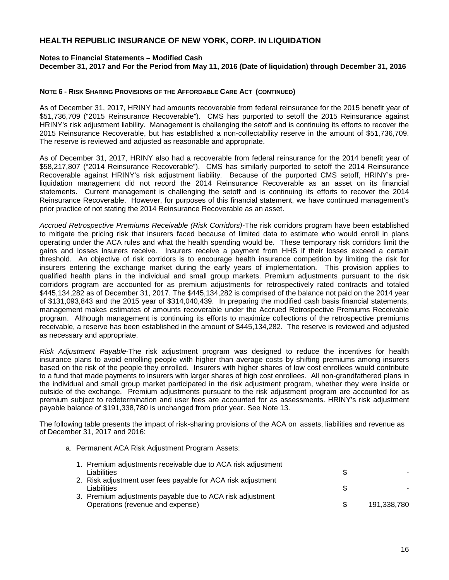#### **Notes to Financial Statements – Modified Cash**

#### **December 31, 2017 and For the Period from May 11, 2016 (Date of liquidation) through December 31, 2016**

#### **NOTE 6 - RISK SHARING PROVISIONS OF THE AFFORDABLE CARE ACT (CONTINUED)**

As of December 31, 2017, HRINY had amounts recoverable from federal reinsurance for the 2015 benefit year of \$51,736,709 ("2015 Reinsurance Recoverable"). CMS has purported to setoff the 2015 Reinsurance against HRINY's risk adjustment liability. Management is challenging the setoff and is continuing its efforts to recover the 2015 Reinsurance Recoverable, but has established a non-collectability reserve in the amount of \$51,736,709. The reserve is reviewed and adjusted as reasonable and appropriate.

As of December 31, 2017, HRINY also had a recoverable from federal reinsurance for the 2014 benefit year of \$58,217,807 ("2014 Reinsurance Recoverable"). CMS has similarly purported to setoff the 2014 Reinsurance Recoverable against HRINY's risk adjustment liability. Because of the purported CMS setoff, HRINY's preliquidation management did not record the 2014 Reinsurance Recoverable as an asset on its financial statements. Current management is challenging the setoff and is continuing its efforts to recover the 2014 Reinsurance Recoverable. However, for purposes of this financial statement, we have continued management's prior practice of not stating the 2014 Reinsurance Recoverable as an asset.

*Accrued Retrospective Premiums Receivable (Risk Corridors)-*The risk corridors program have been established to mitigate the pricing risk that insurers faced because of limited data to estimate who would enroll in plans operating under the ACA rules and what the health spending would be. These temporary risk corridors limit the gains and losses insurers receive. Insurers receive a payment from HHS if their losses exceed a certain threshold. An objective of risk corridors is to encourage health insurance competition by limiting the risk for insurers entering the exchange market during the early years of implementation. This provision applies to qualified health plans in the individual and small group markets. Premium adjustments pursuant to the risk corridors program are accounted for as premium adjustments for retrospectively rated contracts and totaled \$445,134,282 as of December 31, 2017. The \$445,134,282 is comprised of the balance not paid on the 2014 year of \$131,093,843 and the 2015 year of \$314,040,439. In preparing the modified cash basis financial statements, management makes estimates of amounts recoverable under the Accrued Retrospective Premiums Receivable program. Although management is continuing its efforts to maximize collections of the retrospective premiums receivable, a reserve has been established in the amount of \$445,134,282. The reserve is reviewed and adjusted as necessary and appropriate.

*Risk Adjustment Payable*-The risk adjustment program was designed to reduce the incentives for health insurance plans to avoid enrolling people with higher than average costs by shifting premiums among insurers based on the risk of the people they enrolled. Insurers with higher shares of low cost enrollees would contribute to a fund that made payments to insurers with larger shares of high cost enrollees. All non-grandfathered plans in the individual and small group market participated in the risk adjustment program, whether they were inside or outside of the exchange. Premium adjustments pursuant to the risk adjustment program are accounted for as premium subject to redetermination and user fees are accounted for as assessments. HRINY's risk adjustment payable balance of \$191,338,780 is unchanged from prior year. See Note 13.

The following table presents the impact of risk-sharing provisions of the ACA on assets, liabilities and revenue as of December 31, 2017 and 2016:

a. Permanent ACA Risk Adjustment Program Assets:

| 1. Premium adjustments receivable due to ACA risk adjustment |   |             |
|--------------------------------------------------------------|---|-------------|
| Liabilities                                                  | S |             |
| 2. Risk adjustment user fees payable for ACA risk adjustment |   |             |
| Liabilities                                                  | S |             |
| 3. Premium adjustments payable due to ACA risk adjustment    |   |             |
| Operations (revenue and expense)                             |   | 191,338,780 |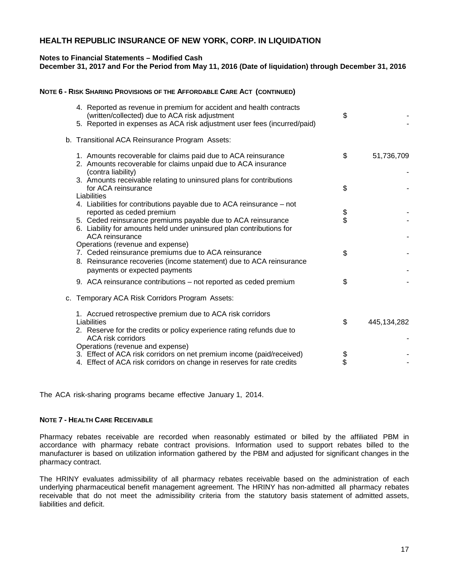#### **Notes to Financial Statements – Modified Cash**

**December 31, 2017 and For the Period from May 11, 2016 (Date of liquidation) through December 31, 2016**

#### **NOTE 6 - RISK SHARING PROVISIONS OF THE AFFORDABLE CARE ACT (CONTINUED)**

| 4. Reported as revenue in premium for accident and health contracts<br>(written/collected) due to ACA risk adjustment<br>5. Reported in expenses as ACA risk adjustment user fees (incurred/paid)                                          | \$                  |
|--------------------------------------------------------------------------------------------------------------------------------------------------------------------------------------------------------------------------------------------|---------------------|
| b. Transitional ACA Reinsurance Program Assets:                                                                                                                                                                                            |                     |
| 1. Amounts recoverable for claims paid due to ACA reinsurance<br>2. Amounts recoverable for claims unpaid due to ACA insurance<br>(contra liability)                                                                                       | \$<br>51,736,709    |
| 3. Amounts receivable relating to uninsured plans for contributions<br>for ACA reinsurance<br>Liabilities                                                                                                                                  | \$                  |
| 4. Liabilities for contributions payable due to ACA reinsurance – not<br>reported as ceded premium<br>5. Ceded reinsurance premiums payable due to ACA reinsurance<br>6. Liability for amounts held under uninsured plan contributions for | \$                  |
| <b>ACA</b> reinsurance<br>Operations (revenue and expense)<br>7. Ceded reinsurance premiums due to ACA reinsurance<br>8. Reinsurance recoveries (income statement) due to ACA reinsurance<br>payments or expected payments                 | \$                  |
| 9. ACA reinsurance contributions – not reported as ceded premium                                                                                                                                                                           | \$                  |
| c. Temporary ACA Risk Corridors Program Assets:                                                                                                                                                                                            |                     |
| 1. Accrued retrospective premium due to ACA risk corridors<br>Liabilities<br>2. Reserve for the credits or policy experience rating refunds due to<br>ACA risk corridors                                                                   | \$<br>445, 134, 282 |
| Operations (revenue and expense)<br>3. Effect of ACA risk corridors on net premium income (paid/received)<br>4. Effect of ACA risk corridors on change in reserves for rate credits                                                        | \$                  |

The ACA risk-sharing programs became effective January 1, 2014.

#### **NOTE 7 - HEALTH CARE RECEIVABLE**

Pharmacy rebates receivable are recorded when reasonably estimated or billed by the affiliated PBM in accordance with pharmacy rebate contract provisions. Information used to support rebates billed to the manufacturer is based on utilization information gathered by the PBM and adjusted for significant changes in the pharmacy contract.

The HRINY evaluates admissibility of all pharmacy rebates receivable based on the administration of each underlying pharmaceutical benefit management agreement. The HRINY has non-admitted all pharmacy rebates receivable that do not meet the admissibility criteria from the statutory basis statement of admitted assets, liabilities and deficit.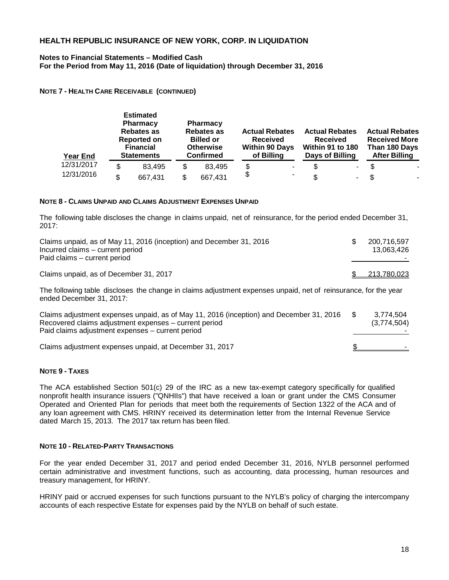#### **Notes to Financial Statements – Modified Cash For the Period from May 11, 2016 (Date of liquidation) through December 31, 2016**

#### **NOTE 7 - HEALTH CARE RECEIVABLE (CONTINUED)**

| <b>Year End</b> | <b>Estimated</b><br><b>Pharmacy</b><br>Rebates as<br><b>Reported on</b><br><b>Financial</b><br><b>Statements</b> |     | <b>Pharmacy</b><br>Rebates as<br><b>Billed or</b><br><b>Otherwise</b><br><b>Confirmed</b> | <b>Actual Rebates</b><br><b>Received</b><br><b>Within 90 Days</b><br>of Billing |   | <b>Actual Rebates</b><br><b>Received</b><br><b>Within 91 to 180</b><br>Days of Billing |                 | <b>Actual Rebates</b><br><b>Received More</b><br>Than 180 Days<br><b>After Billing</b> |    |
|-----------------|------------------------------------------------------------------------------------------------------------------|-----|-------------------------------------------------------------------------------------------|---------------------------------------------------------------------------------|---|----------------------------------------------------------------------------------------|-----------------|----------------------------------------------------------------------------------------|----|
| 12/31/2017      | \$<br>83.495                                                                                                     | \$. | 83.495                                                                                    | \$                                                                              | ۰ |                                                                                        | $\sim$ 10 $\pm$ |                                                                                        | ٠  |
| 12/31/2016      | \$<br>667.431                                                                                                    |     | 667,431                                                                                   |                                                                                 | ۰ |                                                                                        |                 |                                                                                        | ٠. |

#### **NOTE 8 - CLAIMS UNPAID AND CLAIMS ADJUSTMENT EXPENSES UNPAID**

The following table discloses the change in claims unpaid, net of reinsurance, for the period ended December 31, 2017:

| Claims unpaid, as of May 11, 2016 (inception) and December 31, 2016<br>Incurred claims - current period<br>Paid claims – current period                                                              | 200,716,597<br>13,063,426      |
|------------------------------------------------------------------------------------------------------------------------------------------------------------------------------------------------------|--------------------------------|
| Claims unpaid, as of December 31, 2017                                                                                                                                                               | 213,780,023                    |
| The following table discloses the change in claims adjustment expenses unpaid, net of reinsurance, for the year<br>ended December 31, 2017:                                                          |                                |
| Claims adjustment expenses unpaid, as of May 11, 2016 (inception) and December 31, 2016<br>Recovered claims adjustment expenses - current period<br>Paid claims adjustment expenses – current period | \$<br>3,774,504<br>(3,774,504) |

Claims adjustment expenses unpaid, at December 31, 2017 \$ -

#### **NOTE 9 - TAXES**

The ACA established Section 501(c) 29 of the IRC as a new tax-exempt category specifically for qualified nonprofit health insurance issuers ("QNHIIs") that have received a loan or grant under the CMS Consumer Operated and Oriented Plan for periods that meet both the requirements of Section 1322 of the ACA and of any loan agreement with CMS. HRINY received its determination letter from the Internal Revenue Service dated March 15, 2013. The 2017 tax return has been filed.

#### **NOTE 10 - RELATED-PARTY TRANSACTIONS**

For the year ended December 31, 2017 and period ended December 31, 2016, NYLB personnel performed certain administrative and investment functions, such as accounting, data processing, human resources and treasury management, for HRINY.

HRINY paid or accrued expenses for such functions pursuant to the NYLB's policy of charging the intercompany accounts of each respective Estate for expenses paid by the NYLB on behalf of such estate.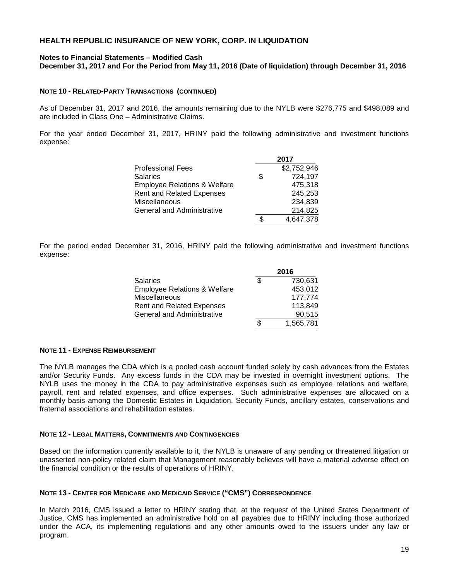#### **Notes to Financial Statements – Modified Cash**

**December 31, 2017 and For the Period from May 11, 2016 (Date of liquidation) through December 31, 2016**

#### **NOTE 10 - RELATED-PARTY TRANSACTIONS (CONTINUED)**

As of December 31, 2017 and 2016, the amounts remaining due to the NYLB were \$276,775 and \$498,089 and are included in Class One – Administrative Claims.

For the year ended December 31, 2017, HRINY paid the following administrative and investment functions expense:

|                                         |    | 2017        |
|-----------------------------------------|----|-------------|
| <b>Professional Fees</b>                |    | \$2,752,946 |
| <b>Salaries</b>                         | S  | 724,197     |
| <b>Employee Relations &amp; Welfare</b> |    | 475,318     |
| Rent and Related Expenses               |    | 245,253     |
| <b>Miscellaneous</b>                    |    | 234,839     |
| <b>General and Administrative</b>       |    | 214,825     |
|                                         | ß. | 4,647,378   |

For the period ended December 31, 2016, HRINY paid the following administrative and investment functions expense:

|                                         | 2016            |
|-----------------------------------------|-----------------|
| <b>Salaries</b>                         | \$<br>730,631   |
| <b>Employee Relations &amp; Welfare</b> | 453,012         |
| Miscellaneous                           | 177,774         |
| Rent and Related Expenses               | 113,849         |
| General and Administrative              | 90,515          |
|                                         | \$<br>1,565,781 |

#### **NOTE 11 - EXPENSE REIMBURSEMENT**

The NYLB manages the CDA which is a pooled cash account funded solely by cash advances from the Estates and/or Security Funds. Any excess funds in the CDA may be invested in overnight investment options. The NYLB uses the money in the CDA to pay administrative expenses such as employee relations and welfare, payroll, rent and related expenses, and office expenses. Such administrative expenses are allocated on a monthly basis among the Domestic Estates in Liquidation, Security Funds, ancillary estates, conservations and fraternal associations and rehabilitation estates.

#### **NOTE 12 - LEGAL MATTERS, COMMITMENTS AND CONTINGENCIES**

Based on the information currently available to it, the NYLB is unaware of any pending or threatened litigation or unasserted non-policy related claim that Management reasonably believes will have a material adverse effect on the financial condition or the results of operations of HRINY.

#### **NOTE 13 - CENTER FOR MEDICARE AND MEDICAID SERVICE ("CMS") CORRESPONDENCE**

In March 2016, CMS issued a letter to HRINY stating that, at the request of the United States Department of Justice, CMS has implemented an administrative hold on all payables due to HRINY including those authorized under the ACA, its implementing regulations and any other amounts owed to the issuers under any law or program.